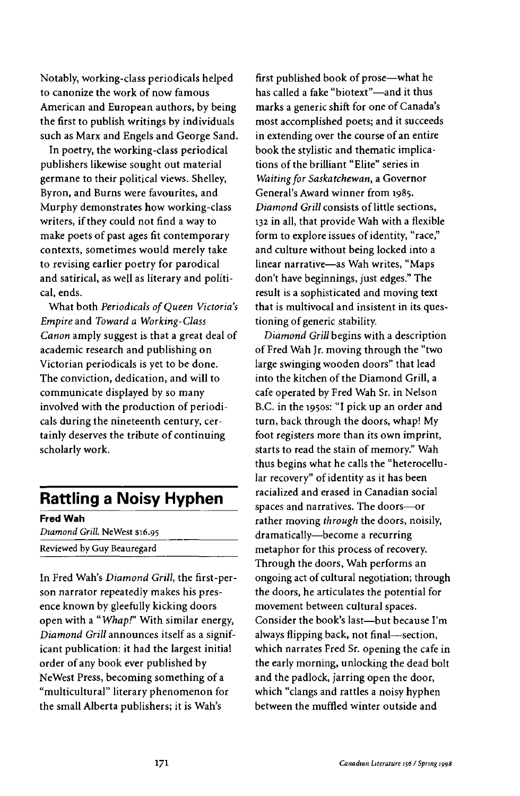Notably, working-class periodicals helped to canonize the work of now famous American and European authors, by being the first to publish writings by individuals such as Marx and Engels and George Sand.

In poetry, the working-class periodical publishers likewise sought out material germane to their political views. Shelley, Byron, and Burns were favourites, and Murphy demonstrates how working-class writers, if they could not find a way to make poets of past ages fit contemporary contexts, sometimes would merely take to revising earlier poetry for parodical and satirical, as well as literary and political, ends.

What both *Periodicals of Queen Victoria's Empire* and *Toward a Working-Class Canon* amply suggest is that a great deal of academic research and publishing on Victorian periodicals is yet to be done. The conviction, dedication, and will to communicate displayed by so many involved with the production of periodicals during the nineteenth century, certainly deserves the tribute of continuing scholarly work.

## **Rattling a Noisy Hyphen**

**Fred Wah** *Diamond Grill.* NeWest \$16.95 Reviewed by Guy Beauregard

In Fred Wah's *Diamond Grill,* the first-person narrator repeatedly makes his presence known by gleefully kicking doors open with a *"Whap!"* With similar energy, *Diamond Grill* announces itself as a significant publication: it had the largest initial order of any book ever published by NeWest Press, becoming something of a "multicultural" literary phenomenon for the small Alberta publishers; it is Wah's

first published book of prose—what he has called a fake "biotext"—and it thus marks a generic shift for one of Canada's most accomplished poets; and it succeeds in extending over the course of an entire book the stylistic and thematic implications of the brilliant "Elite" series in *Waiting for Saskatchewan,* a Governor General's Award winner from 1985. *Diamond Grill* consists of little sections, 132 in all, that provide Wah with a flexible form to explore issues of identity, "race," and culture without being locked into a linear narrative—as Wah writes, "Maps don't have beginnings, just edges." The result is a sophisticated and moving text that is multivocal and insistent in its questioning of generic stability.

*Diamond Grill* begins with a description of Fred Wah Jr. moving through the "two large swinging wooden doors" that lead into the kitchen of the Diamond Grill, a cafe operated by Fred Wah Sr. in Nelson B.C. in the 1950s: "I pick up an order and turn, back through the doors, whap! My foot registers more than its own imprint, starts to read the stain of memory." Wah thus begins what he calls the "heterocellular recovery" of identity as it has been racialized and erased in Canadian social spaces and narratives. The doors—or rather moving *through* the doors, noisily, dramatically—become a recurring metaphor for this process of recovery. Through the doors, Wah performs an ongoing act of cultural negotiation; through the doors, he articulates the potential for movement between cultural spaces. Consider the book's last—but because I'm always flipping back, not final—section, which narrates Fred Sr. opening the cafe in the early morning, unlocking the dead bolt and the padlock, jarring open the door, which "clangs and rattles a noisy hyphen between the muffled winter outside and